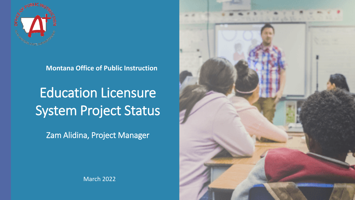

**Montana Office of Public Instruction** 

Education Licensure System Project Status

Zam Alidina, Project Manager



March 2022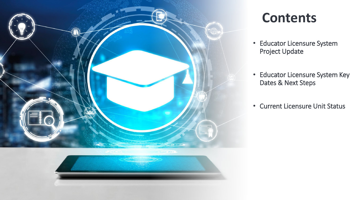

### **Contents**

- Educator Licensure System Project Update
- Educator Licensure System Key Dates & Next Steps
- Current Licensure Unit Status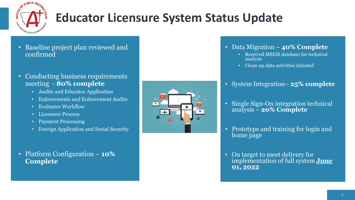

# **Educator Licensure System Status Update**

- Baseline project plan reviewed and confirmed
- Conducting business requirements meeting - **80% complete**
	- Audits and Educator Application
	- Enforcements and Enforcement Audits
	- Evaluator Workflow
	- Licensure Process
	- Payment Processing
	- Foreign Application and Social Security
- Platform Configuration **10% Complete**



- Data Migration **40% Complete**
	- Received MSEIS database for technical analysis
	- Clean-up data activities initiated
- System Integration– **25% complete**
- Single Sign-On integration technical analysis **20% Complete**
- Prototype and training for login and home page
- On target to meet delivery for implementation of full system **June 01, 2022**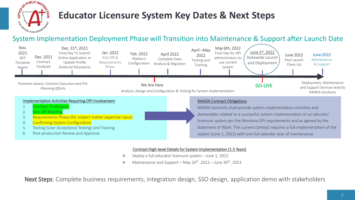

### **Educator Licensure System Key Dates & Next Steps**

### System Implementation Deployment Phase will Transition into Maintenance & Support after Launch Date



#### Contract High-level Details for System Implementation (1.5 Years)

- Deploy a full educator licensure system June 1, 2022
- $\triangleright$  Maintenance and Support May 26<sup>th</sup>, 2022 June 30<sup>th</sup>, 2023

Next Steps: Complete business requirements, integration design, SSO design, application demo with stakeholders